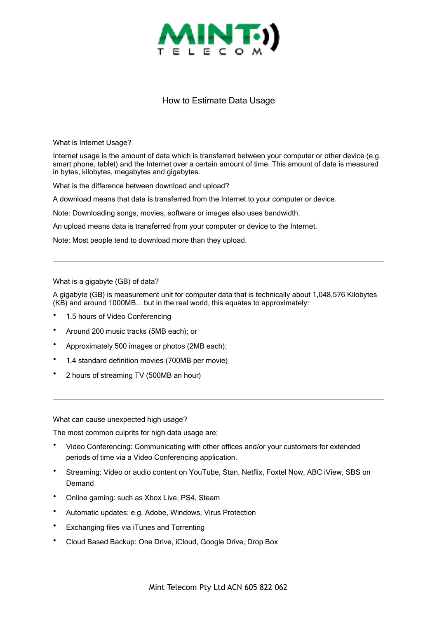

## How to Estimate Data Usage

What is Internet Usage?

Internet usage is the amount of data which is transferred between your computer or other device (e.g. smart phone, tablet) and the Internet over a certain amount of time. This amount of data is measured in bytes, kilobytes, megabytes and gigabytes.

What is the difference between download and upload?

A download means that data is transferred from the Internet to your computer or device.

Note: Downloading songs, movies, software or images also uses bandwidth.

An upload means data is transferred from your computer or device to the Internet.

Note: Most people tend to download more than they upload.

## What is a gigabyte (GB) of data?

A gigabyte (GB) is measurement unit for computer data that is technically about 1,048,576 Kilobytes (KB) and around 1000MB... but in the real world, this equates to approximately:

- 1.5 hours of Video Conferencing
- Around 200 music tracks (5MB each); or
- Approximately 500 images or photos (2MB each);
- 1.4 standard definition movies (700MB per movie)
- 2 hours of streaming TV (500MB an hour)

What can cause unexpected high usage?

The most common culprits for high data usage are;

- Video Conferencing: Communicating with other offices and/or your customers for extended periods of time via a Video Conferencing application.
- Streaming: Video or audio content on YouTube, Stan, Netflix, Foxtel Now, ABC iView, SBS on Demand
- Online gaming: such as Xbox Live, PS4, Steam
- Automatic updates: e.g. Adobe, Windows, Virus Protection
- Exchanging files via iTunes and Torrenting
- Cloud Based Backup: One Drive, iCloud, Google Drive, Drop Box